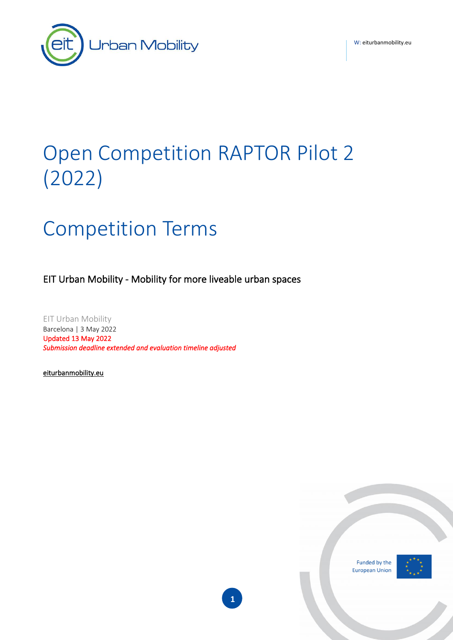W: [eiturbanmobility.eu](http://www.eiturbanmobility.eu/)



# Open Competition RAPTOR Pilot 2 (2022)

# Competition Terms

EIT Urban Mobility - Mobility for more liveable urban spaces

EIT Urban Mobility Barcelona | 3 May 2022 Updated 13 May 2022 *Submission deadline extended and evaluation timeline adjusted* 

[eiturbanmobility.eu](http://www.eiturbanmobility.eu/)

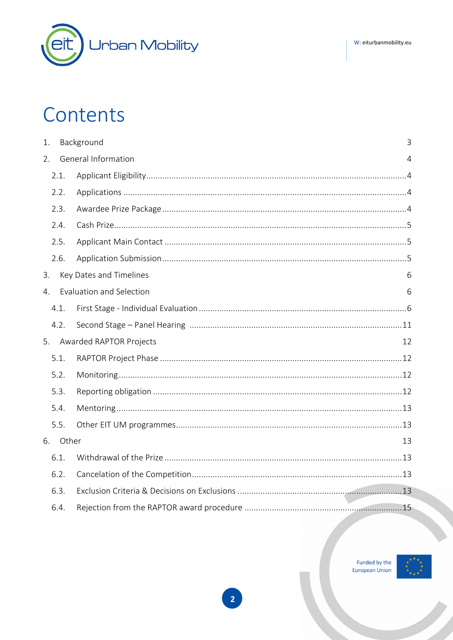# Contents

| 1.          |          | Background<br>3                      |  |  |  |
|-------------|----------|--------------------------------------|--|--|--|
| 2.          |          | General Information<br>4             |  |  |  |
|             | 2.1.     |                                      |  |  |  |
|             | 2.2.     |                                      |  |  |  |
|             | 2.3.     |                                      |  |  |  |
|             | 2.4.     |                                      |  |  |  |
|             | 2.5.     |                                      |  |  |  |
|             | 2.6.     |                                      |  |  |  |
| 3.          |          | Key Dates and Timelines<br>6         |  |  |  |
| $4_{\cdot}$ |          | <b>Evaluation and Selection</b><br>6 |  |  |  |
|             | 4.1.     |                                      |  |  |  |
|             | 4.2.     |                                      |  |  |  |
| 5.          |          | Awarded RAPTOR Projects<br>12        |  |  |  |
|             | 5.1.     |                                      |  |  |  |
|             | 5.2.     |                                      |  |  |  |
|             | 5.3.     |                                      |  |  |  |
|             | 5.4.     |                                      |  |  |  |
|             | 5.5.     |                                      |  |  |  |
|             | 6. Other | 13                                   |  |  |  |
|             | 6.1.     |                                      |  |  |  |
|             | 6.2.     |                                      |  |  |  |
|             | 6.3.     |                                      |  |  |  |
|             | 6.4.     |                                      |  |  |  |

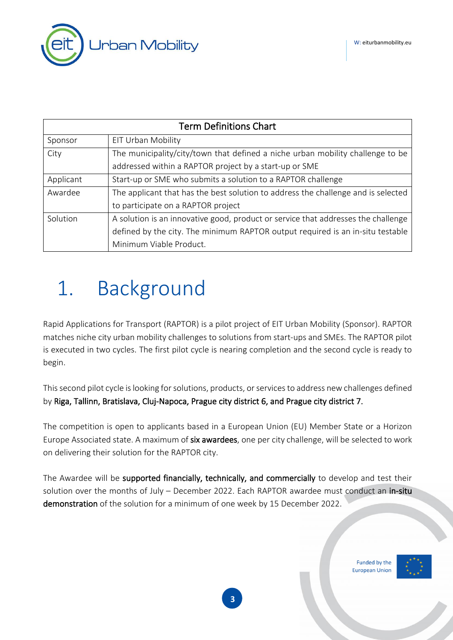

| <b>Term Definitions Chart</b>                                                          |                                                                                   |  |  |
|----------------------------------------------------------------------------------------|-----------------------------------------------------------------------------------|--|--|
| Sponsor                                                                                | EIT Urban Mobility                                                                |  |  |
| The municipality/city/town that defined a niche urban mobility challenge to be<br>City |                                                                                   |  |  |
|                                                                                        | addressed within a RAPTOR project by a start-up or SME                            |  |  |
| Applicant                                                                              | Start-up or SME who submits a solution to a RAPTOR challenge                      |  |  |
| Awardee                                                                                | The applicant that has the best solution to address the challenge and is selected |  |  |
|                                                                                        | to participate on a RAPTOR project                                                |  |  |
| Solution                                                                               | A solution is an innovative good, product or service that addresses the challenge |  |  |
|                                                                                        | defined by the city. The minimum RAPTOR output required is an in-situ testable    |  |  |
|                                                                                        | Minimum Viable Product.                                                           |  |  |

# <span id="page-2-0"></span>1. Background

Rapid Applications for Transport (RAPTOR) is a pilot project of EIT Urban Mobility (Sponsor). RAPTOR matches niche city urban mobility challenges to solutions from start-ups and SMEs. The RAPTOR pilot is executed in two cycles. The first pilot cycle is nearing completion and the second cycle is ready to begin.

This second pilot cycle is looking for solutions, products, or services to address new challenges defined by Riga, Tallinn, Bratislava, Cluj-Napoca, Prague city district 6, and Prague city district 7.

The competition is open to applicants based in a European Union (EU) Member State or a Horizon Europe Associated state. A maximum of six awardees, one per city challenge, will be selected to work on delivering their solution for the RAPTOR city.

The Awardee will be supported financially, technically, and commercially to develop and test their solution over the months of July - December 2022. Each RAPTOR awardee must conduct an in-situ demonstration of the solution for a minimum of one week by 15 December 2022.

> Funded by the **European Union**



**3**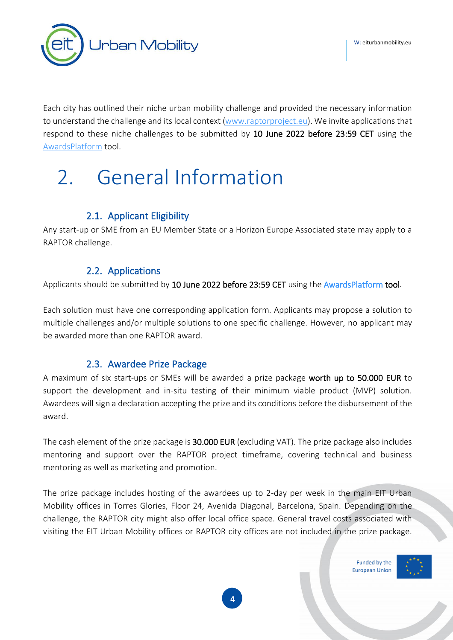

Each city has outlined their niche urban mobility challenge and provided the necessary information to understand the challenge and its local context [\(www.raptorproject.eu\)](https://raptorproject.eu/). We invite applications that respond to these niche challenges to be submitted by 10 June 2022 before 23:59 CET using the [AwardsPlatform](https://eiturbanmobility.awardsplatform.com/) tool.

# <span id="page-3-0"></span>2. General Information

### 2.1. Applicant Eligibility

<span id="page-3-1"></span>Any start-up or SME from an EU Member State or a Horizon Europe Associated state may apply to a RAPTOR challenge.

### 2.2. Applications

<span id="page-3-2"></span>Applicants should be submitted by 10 June 2022 before 23:59 CET using the [AwardsPlatform](https://eiturbanmobility.awardsplatform.com/) tool.

Each solution must have one corresponding application form. Applicants may propose a solution to multiple challenges and/or multiple solutions to one specific challenge. However, no applicant may be awarded more than one RAPTOR award.

### 2.3. Awardee Prize Package

<span id="page-3-3"></span>A maximum of six start-ups or SMEs will be awarded a prize package worth up to 50.000 EUR to support the development and in-situ testing of their minimum viable product (MVP) solution. Awardees will sign a declaration accepting the prize and its conditions before the disbursement of the award.

The cash element of the prize package is 30.000 EUR (excluding VAT). The prize package also includes mentoring and support over the RAPTOR project timeframe, covering technical and business mentoring as well as marketing and promotion.

The prize package includes hosting of the awardees up to 2-day per week in the main EIT Urban Mobility offices in Torres Glories, Floor 24, Avenida Diagonal, Barcelona, Spain. Depending on the challenge, the RAPTOR city might also offer local office space. General travel costs associated with visiting the EIT Urban Mobility offices or RAPTOR city offices are not included in the prize package.

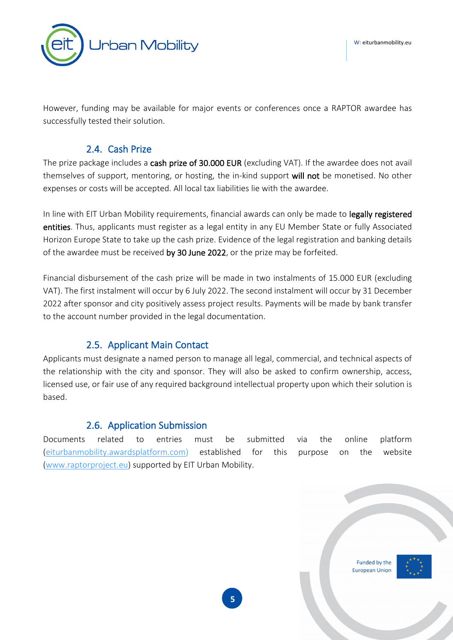

However, funding may be available for major events or conferences once a RAPTOR awardee has successfully tested their solution.

#### 2.4. Cash Prize

<span id="page-4-0"></span>The prize package includes a cash prize of 30.000 EUR (excluding VAT). If the awardee does not avail themselves of support, mentoring, or hosting, the in-kind support will not be monetised. No other expenses or costs will be accepted. All local tax liabilities lie with the awardee.

In line with EIT Urban Mobility requirements, financial awards can only be made to legally registered entities. Thus, applicants must register as a legal entity in any EU Member State or fully Associated Horizon Europe State to take up the cash prize. Evidence of the legal registration and banking details of the awardee must be received by 30 June 2022, or the prize may be forfeited.

Financial disbursement of the cash prize will be made in two instalments of 15.000 EUR (excluding VAT). The first instalment will occur by 6 July 2022. The second instalment will occur by 31 December 2022 after sponsor and city positively assess project results. Payments will be made by bank transfer to the account number provided in the legal documentation.

#### 2.5. Applicant Main Contact

<span id="page-4-1"></span>Applicants must designate a named person to manage all legal, commercial, and technical aspects of the relationship with the city and sponsor. They will also be asked to confirm ownership, access, licensed use, or fair use of any required background intellectual property upon which their solution is based.

#### 2.6. Application Submission

<span id="page-4-2"></span>Documents related to entries must be submitted via the online platform [\(eiturbanmobility.awardsplatform.com\)](https://eiturbanmobility.awardsplatform.com/) established for this purpose on the website [\(www.raptorproject.eu\)](http://www.raptorproject.eu/) supported by EIT Urban Mobility.

> Funded by the **European Unior**



**5**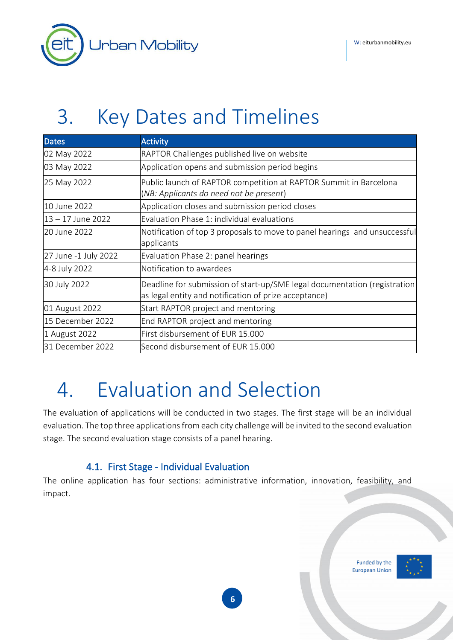

# <span id="page-5-0"></span>3. Key Dates and Timelines

| <b>Dates</b>         | <b>Activity</b>                                                                                                                    |
|----------------------|------------------------------------------------------------------------------------------------------------------------------------|
| 02 May 2022          | RAPTOR Challenges published live on website                                                                                        |
| 03 May 2022          | Application opens and submission period begins                                                                                     |
| 25 May 2022          | Public launch of RAPTOR competition at RAPTOR Summit in Barcelona<br>(NB: Applicants do need not be present)                       |
| 10 June 2022         | Application closes and submission period closes                                                                                    |
| 13 – 17 June 2022    | Evaluation Phase 1: individual evaluations                                                                                         |
| 20 June 2022         | Notification of top 3 proposals to move to panel hearings and unsuccessful<br>applicants                                           |
| 27 June -1 July 2022 | Evaluation Phase 2: panel hearings                                                                                                 |
| 4-8 July 2022        | Notification to awardees                                                                                                           |
| 30 July 2022         | Deadline for submission of start-up/SME legal documentation (registration<br>as legal entity and notification of prize acceptance) |
| 01 August 2022       | Start RAPTOR project and mentoring                                                                                                 |
| 15 December 2022     | End RAPTOR project and mentoring                                                                                                   |
| 1 August 2022        | First disbursement of EUR 15.000                                                                                                   |
| 31 December 2022     | Second disbursement of EUR 15.000                                                                                                  |

# <span id="page-5-1"></span>4. Evaluation and Selection

The evaluation of applications will be conducted in two stages. The first stage will be an individual evaluation. The top three applications from each city challenge will be invited to the second evaluation stage. The second evaluation stage consists of a panel hearing.

### 4.1. First Stage - Individual Evaluation

<span id="page-5-2"></span>The online application has four sections: administrative information, innovation, feasibility, and impact.

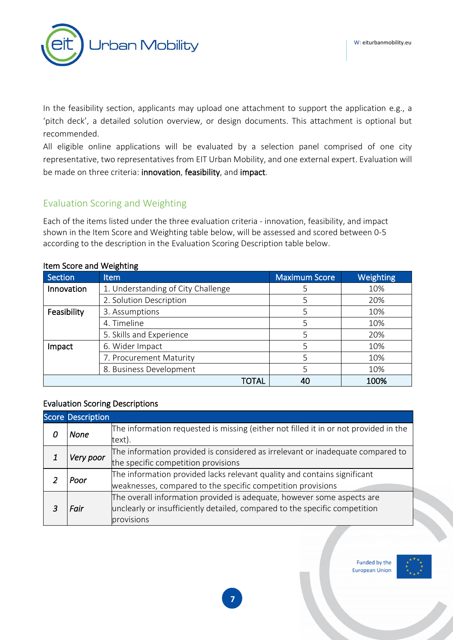

In the feasibility section, applicants may upload one attachment to support the application e.g., a 'pitch deck', a detailed solution overview, or design documents. This attachment is optional but recommended.

All eligible online applications will be evaluated by a selection panel comprised of one city representative, two representatives from EIT Urban Mobility, and one external expert. Evaluation will be made on three criteria: innovation, feasibility, and impact.

#### Evaluation Scoring and Weighting

Each of the items listed under the three evaluation criteria - innovation, feasibility, and impact shown in the Item Score and Weighting table below, will be assessed and scored between 0-5 according to the description in the Evaluation Scoring Description table below.

| Section     | <b>Item</b>                        | <b>Maximum Score</b> | Weighting |
|-------------|------------------------------------|----------------------|-----------|
| Innovation  | 1. Understanding of City Challenge |                      | 10%       |
|             | 2. Solution Description            |                      | 20%       |
| Feasibility | 3. Assumptions                     |                      | 10%       |
|             | 4. Timeline                        |                      | 10%       |
|             | 5. Skills and Experience           |                      | 20%       |
| Impact      | 6. Wider Impact                    |                      | 10%       |
|             | 7. Procurement Maturity            |                      | 10%       |
|             | 8. Business Development            |                      | 10%       |
|             | TOTAL                              | 40                   | 100%      |

#### Item Score and Weighting

#### Evaluation Scoring Descriptions

|  | <b>Score Description</b> |                                                                                      |
|--|--------------------------|--------------------------------------------------------------------------------------|
|  | None                     | The information requested is missing (either not filled it in or not provided in the |
|  |                          | text).                                                                               |
|  | Very poor                | The information provided is considered as irrelevant or inadequate compared to       |
|  |                          | the specific competition provisions                                                  |
|  | Poor                     | The information provided lacks relevant quality and contains significant             |
|  |                          | weaknesses, compared to the specific competition provisions                          |
|  | Fair                     | The overall information provided is adequate, however some aspects are               |
|  |                          | unclearly or insufficiently detailed, compared to the specific competition           |
|  |                          | provisions                                                                           |

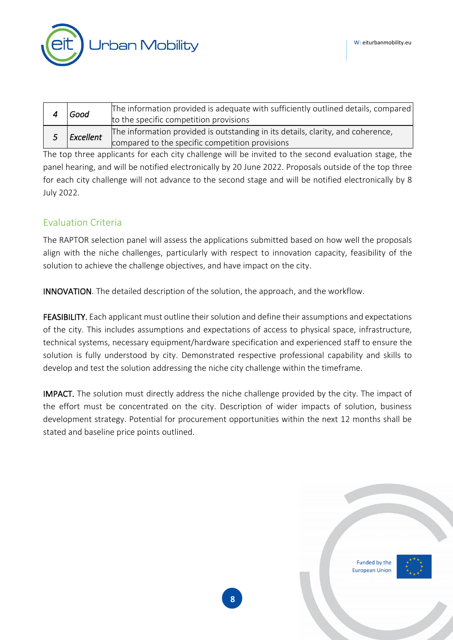**Jrban Mobility** 

| Good                                                                                                                                            | [The information provided is adequate with sufficiently outlined details, compared<br>to the specific competition provisions |  |
|-------------------------------------------------------------------------------------------------------------------------------------------------|------------------------------------------------------------------------------------------------------------------------------|--|
| The information provided is outstanding in its details, clarity, and coherence,<br>Excellent<br>compared to the specific competition provisions |                                                                                                                              |  |
|                                                                                                                                                 | $\mathbf{1} \mathbf{1} \mathbf{1}$ . The set of $\mathbf{1} \mathbf{1}$ . The set of $\mathbf{1} \mathbf{1}$                 |  |

The top three applicants for each city challenge will be invited to the second evaluation stage, the panel hearing, and will be notified electronically by 20 June 2022. Proposals outside of the top three for each city challenge will not advance to the second stage and will be notified electronically by 8 July 2022.

#### Evaluation Criteria

The RAPTOR selection panel will assess the applications submitted based on how well the proposals align with the niche challenges, particularly with respect to innovation capacity, feasibility of the solution to achieve the challenge objectives, and have impact on the city.

INNOVATION. The detailed description of the solution, the approach, and the workflow.

FEASIBILITY. Each applicant must outline their solution and define their assumptions and expectations of the city. This includes assumptions and expectations of access to physical space, infrastructure, technical systems, necessary equipment/hardware specification and experienced staff to ensure the solution is fully understood by city. Demonstrated respective professional capability and skills to develop and test the solution addressing the niche city challenge within the timeframe.

IMPACT. The solution must directly address the niche challenge provided by the city. The impact of the effort must be concentrated on the city. Description of wider impacts of solution, business development strategy. Potential for procurement opportunities within the next 12 months shall be stated and baseline price points outlined.

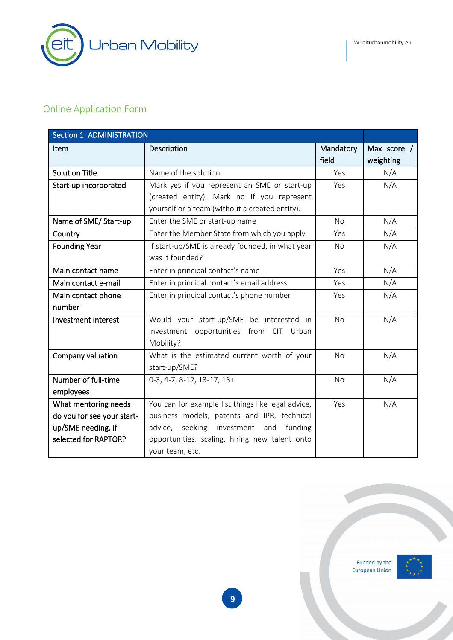## Online Application Form

| <b>Section 1: ADMINISTRATION</b> |                                                                     |                    |                          |
|----------------------------------|---------------------------------------------------------------------|--------------------|--------------------------|
| Item                             | Description                                                         | Mandatory<br>field | Max score /<br>weighting |
| <b>Solution Title</b>            | Name of the solution                                                | Yes                | N/A                      |
| Start-up incorporated            | Mark yes if you represent an SME or start-up                        | Yes                | N/A                      |
|                                  | (created entity). Mark no if you represent                          |                    |                          |
|                                  | yourself or a team (without a created entity).                      |                    |                          |
| Name of SME/Start-up             | Enter the SME or start-up name                                      | <b>No</b>          | N/A                      |
| Country                          | Enter the Member State from which you apply                         | Yes                | N/A                      |
| <b>Founding Year</b>             | If start-up/SME is already founded, in what year<br>was it founded? | <b>No</b>          | N/A                      |
| Main contact name                | Enter in principal contact's name                                   | Yes                | N/A                      |
| Main contact e-mail              | Enter in principal contact's email address                          | Yes                | N/A                      |
| Main contact phone               | Enter in principal contact's phone number                           | Yes                | N/A                      |
| number                           |                                                                     |                    |                          |
| Investment interest              | Would your start-up/SME be interested in                            | <b>No</b>          | N/A                      |
|                                  | investment opportunities from EIT Urban                             |                    |                          |
|                                  | Mobility?                                                           |                    |                          |
| Company valuation                | What is the estimated current worth of your                         | <b>No</b>          | N/A                      |
|                                  | start-up/SME?                                                       |                    |                          |
| Number of full-time              | 0-3, 4-7, 8-12, 13-17, 18+                                          | <b>No</b>          | N/A                      |
| employees                        |                                                                     |                    |                          |
| What mentoring needs             | You can for example list things like legal advice,                  | Yes                | N/A                      |
| do you for see your start-       | business models, patents and IPR, technical                         |                    |                          |
| up/SME needing, if               | seeking investment and funding<br>advice,                           |                    |                          |
| selected for RAPTOR?             | opportunities, scaling, hiring new talent onto                      |                    |                          |
|                                  | your team, etc.                                                     |                    |                          |

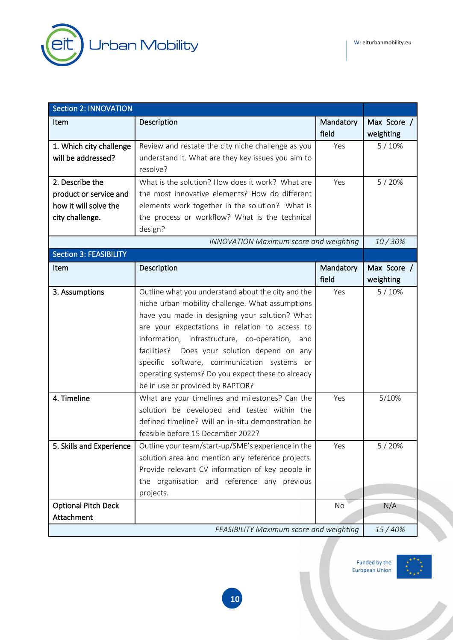

| <b>Section 2: INNOVATION</b>  |                                                    |                    |                          |
|-------------------------------|----------------------------------------------------|--------------------|--------------------------|
| Item                          | Description                                        | Mandatory<br>field | Max Score /<br>weighting |
| 1. Which city challenge       | Review and restate the city niche challenge as you | Yes                | 5/10%                    |
| will be addressed?            | understand it. What are they key issues you aim to |                    |                          |
|                               | resolve?                                           |                    |                          |
| 2. Describe the               | What is the solution? How does it work? What are   | Yes                | 5/20%                    |
| product or service and        | the most innovative elements? How do different     |                    |                          |
| how it will solve the         | elements work together in the solution? What is    |                    |                          |
| city challenge.               | the process or workflow? What is the technical     |                    |                          |
|                               | design?                                            |                    |                          |
|                               | <b>INNOVATION Maximum score and weighting</b>      |                    | 10/30%                   |
| <b>Section 3: FEASIBILITY</b> |                                                    |                    |                          |
| Item                          | Description                                        | Mandatory          | Max Score /              |
|                               |                                                    | field              | weighting                |
| 3. Assumptions                | Outline what you understand about the city and the | Yes                | 5/10%                    |
|                               | niche urban mobility challenge. What assumptions   |                    |                          |
|                               | have you made in designing your solution? What     |                    |                          |
|                               | are your expectations in relation to access to     |                    |                          |
|                               | information, infrastructure, co-operation, and     |                    |                          |
|                               | facilities?<br>Does your solution depend on any    |                    |                          |
|                               | specific software, communication systems or        |                    |                          |
|                               | operating systems? Do you expect these to already  |                    |                          |
|                               | be in use or provided by RAPTOR?                   |                    |                          |
| 4. Timeline                   | What are your timelines and milestones? Can the    | Yes                | 5/10%                    |
|                               | solution be developed and tested within the        |                    |                          |
|                               | defined timeline? Will an in-situ demonstration be |                    |                          |
|                               | feasible before 15 December 2022?                  |                    |                          |
| 5. Skills and Experience      | Outline your team/start-up/SME's experience in the | Yes                | 5/20%                    |
|                               | solution area and mention any reference projects.  |                    |                          |
|                               | Provide relevant CV information of key people in   |                    |                          |
|                               | the organisation and reference any previous        |                    |                          |
|                               | projects.                                          |                    |                          |
| <b>Optional Pitch Deck</b>    |                                                    | No                 | N/A                      |
| Attachment                    |                                                    |                    |                          |
|                               | FEASIBILITY Maximum score and weighting            |                    | 15/40%                   |

Funded by the<br>European Union

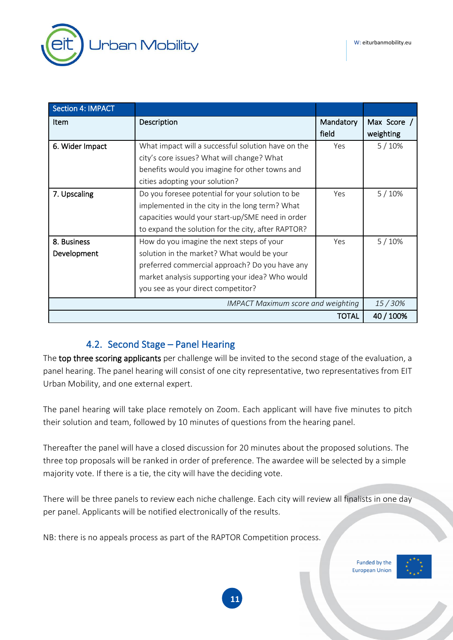

| <b>Section 4: IMPACT</b>                  |                                                    |                    |                          |
|-------------------------------------------|----------------------------------------------------|--------------------|--------------------------|
| <b>Item</b>                               | Description                                        | Mandatory<br>field | Max Score /<br>weighting |
| 6. Wider Impact                           | What impact will a successful solution have on the | Yes                | 5/10%                    |
|                                           | city's core issues? What will change? What         |                    |                          |
|                                           | benefits would you imagine for other towns and     |                    |                          |
|                                           | cities adopting your solution?                     |                    |                          |
| 7. Upscaling                              | Do you foresee potential for your solution to be   | Yes                | 5/10%                    |
|                                           | implemented in the city in the long term? What     |                    |                          |
|                                           | capacities would your start-up/SME need in order   |                    |                          |
|                                           | to expand the solution for the city, after RAPTOR? |                    |                          |
| 8. Business                               | How do you imagine the next steps of your          | Yes                | 5/10%                    |
| Development                               | solution in the market? What would be your         |                    |                          |
|                                           | preferred commercial approach? Do you have any     |                    |                          |
|                                           | market analysis supporting your idea? Who would    |                    |                          |
|                                           | you see as your direct competitor?                 |                    |                          |
| <b>IMPACT Maximum score and weighting</b> |                                                    |                    |                          |
| TOTAL                                     |                                                    |                    | 40 / 100%                |

#### 4.2. Second Stage – Panel Hearing

<span id="page-10-0"></span>The top three scoring applicants per challenge will be invited to the second stage of the evaluation, a panel hearing. The panel hearing will consist of one city representative, two representatives from EIT Urban Mobility, and one external expert.

The panel hearing will take place remotely on Zoom. Each applicant will have five minutes to pitch their solution and team, followed by 10 minutes of questions from the hearing panel.

Thereafter the panel will have a closed discussion for 20 minutes about the proposed solutions. The three top proposals will be ranked in order of preference. The awardee will be selected by a simple majority vote. If there is a tie, the city will have the deciding vote.

There will be three panels to review each niche challenge. Each city will review all finalists in one day per panel. Applicants will be notified electronically of the results.

NB: there is no appeals process as part of the RAPTOR Competition process.

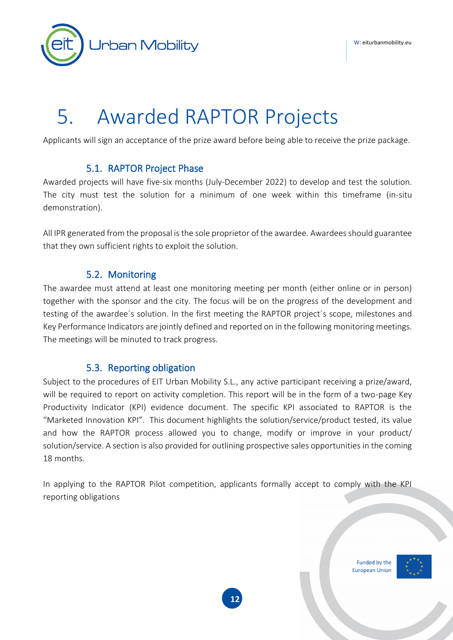**Jrban Mobility** 

# <span id="page-11-0"></span>5. Awarded RAPTOR Projects

Applicants will sign an acceptance of the prize award before being able to receive the prize package.

#### 5.1. RAPTOR Project Phase

<span id="page-11-1"></span>Awarded projects will have five-six months (July-December 2022) to develop and test the solution. The city must test the solution for a minimum of one week within this timeframe (in-situ demonstration).

All IPR generated from the proposal is the sole proprietor of the awardee. Awardees should guarantee that they own sufficient rights to exploit the solution.

#### 5.2. Monitoring

<span id="page-11-2"></span>The awardee must attend at least one monitoring meeting per month (either online or in person) together with the sponsor and the city. The focus will be on the progress of the development and testing of the awardee´s solution. In the first meeting the RAPTOR project´s scope, milestones and Key Performance Indicators are jointly defined and reported on in the following monitoring meetings. The meetings will be minuted to track progress.

#### 5.3. Reporting obligation

<span id="page-11-3"></span>Subject to the procedures of EIT Urban Mobility S.L., any active participant receiving a prize/award, will be required to report on activity completion. This report will be in the form of a two-page Key Productivity Indicator (KPI) evidence document. The specific KPI associated to RAPTOR is the "Marketed Innovation KPI". This document highlights the solution/service/product tested, its value and how the RAPTOR process allowed you to change, modify or improve in your product/ solution/service. A section is also provided for outlining prospective sales opportunities in the coming 18 months.

In applying to the RAPTOR Pilot competition, applicants formally accept to comply with the KPI reporting obligations

**12**

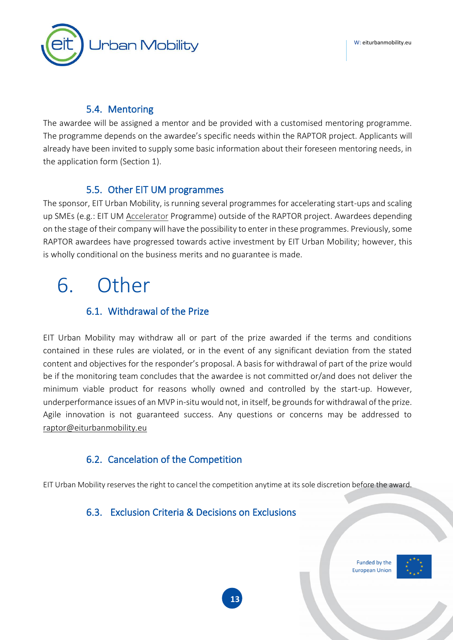

#### 5.4. Mentoring

<span id="page-12-0"></span>The awardee will be assigned a mentor and be provided with a customised mentoring programme. The programme depends on the awardee's specific needs within the RAPTOR project. Applicants will already have been invited to supply some basic information about their foreseen mentoring needs, in the application form (Section 1).

### 5.5. Other EIT UM programmes

<span id="page-12-1"></span>The sponsor, EIT Urban Mobility, is running several programmes for accelerating start-ups and scaling up SMEs (e.g.: EIT UM [Accelerator](https://www.eiturbanmobility.eu/business-creation/accelerator/) Programme) outside of the RAPTOR project. Awardees depending on the stage of their company will have the possibility to enter in these programmes. Previously, some RAPTOR awardees have progressed towards active investment by EIT Urban Mobility; however, this is wholly conditional on the business merits and no guarantee is made.

# <span id="page-12-2"></span>6. Other

### 6.1. Withdrawal of the Prize

<span id="page-12-3"></span>EIT Urban Mobility may withdraw all or part of the prize awarded if the terms and conditions contained in these rules are violated, or in the event of any significant deviation from the stated content and objectives for the responder's proposal. A basis for withdrawal of part of the prize would be if the monitoring team concludes that the awardee is not committed or/and does not deliver the minimum viable product for reasons wholly owned and controlled by the start-up. However, underperformance issues of an MVP in-situ would not, in itself, be grounds for withdrawal of the prize. Agile innovation is not guaranteed success. Any questions or concerns may be addressed to [raptor@eiturbanmobility.eu](mailto:raptor@eiturbanmobility.eu)

### 6.2. Cancelation of the Competition

<span id="page-12-4"></span>EIT Urban Mobility reserves the right to cancel the competition anytime at itssole discretion before the award.

### <span id="page-12-5"></span>6.3. Exclusion Criteria & Decisions on Exclusions

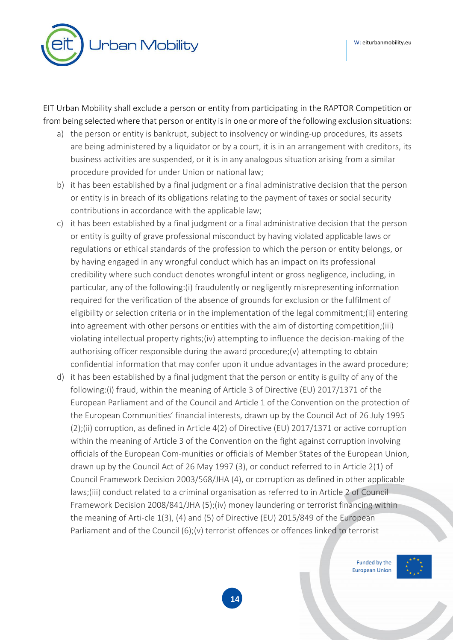

EIT Urban Mobility shall exclude a person or entity from participating in the RAPTOR Competition or from being selected where that person or entity is in one or more of the following exclusion situations:

- a) the person or entity is bankrupt, subject to insolvency or winding-up procedures, its assets are being administered by a liquidator or by a court, it is in an arrangement with creditors, its business activities are suspended, or it is in any analogous situation arising from a similar procedure provided for under Union or national law;
- b) it has been established by a final judgment or a final administrative decision that the person or entity is in breach of its obligations relating to the payment of taxes or social security contributions in accordance with the applicable law;
- c) it has been established by a final judgment or a final administrative decision that the person or entity is guilty of grave professional misconduct by having violated applicable laws or regulations or ethical standards of the profession to which the person or entity belongs, or by having engaged in any wrongful conduct which has an impact on its professional credibility where such conduct denotes wrongful intent or gross negligence, including, in particular, any of the following:(i) fraudulently or negligently misrepresenting information required for the verification of the absence of grounds for exclusion or the fulfilment of eligibility or selection criteria or in the implementation of the legal commitment;(ii) entering into agreement with other persons or entities with the aim of distorting competition;(iii) violating intellectual property rights;(iv) attempting to influence the decision-making of the authorising officer responsible during the award procedure;(v) attempting to obtain confidential information that may confer upon it undue advantages in the award procedure;
- d) it has been established by a final judgment that the person or entity is guilty of any of the following:(i) fraud, within the meaning of Article 3 of Directive (EU) 2017/1371 of the European Parliament and of the Council and Article 1 of the Convention on the protection of the European Communities' financial interests, drawn up by the Council Act of 26 July 1995 (2);(ii) corruption, as defined in Article 4(2) of Directive (EU) 2017/1371 or active corruption within the meaning of Article 3 of the Convention on the fight against corruption involving officials of the European Com-munities or officials of Member States of the European Union, drawn up by the Council Act of 26 May 1997 (3), or conduct referred to in Article 2(1) of Council Framework Decision 2003/568/JHA (4), or corruption as defined in other applicable laws;(iii) conduct related to a criminal organisation as referred to in Article 2 of Council Framework Decision 2008/841/JHA (5);(iv) money laundering or terrorist financing within the meaning of Arti-cle 1(3), (4) and (5) of Directive (EU) 2015/849 of the European Parliament and of the Council (6);(v) terrorist offences or offences linked to terrorist

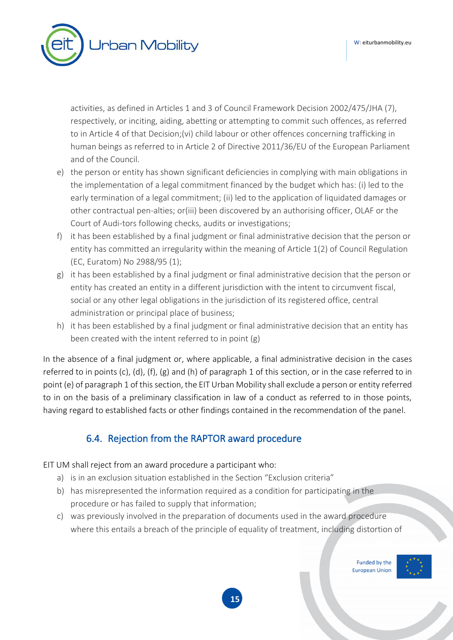**Jrban Mobility** 

activities, as defined in Articles 1 and 3 of Council Framework Decision 2002/475/JHA (7), respectively, or inciting, aiding, abetting or attempting to commit such offences, as referred to in Article 4 of that Decision;(vi) child labour or other offences concerning trafficking in human beings as referred to in Article 2 of Directive 2011/36/EU of the European Parliament and of the Council.

- e) the person or entity has shown significant deficiencies in complying with main obligations in the implementation of a legal commitment financed by the budget which has: (i) led to the early termination of a legal commitment; (ii) led to the application of liquidated damages or other contractual pen-alties; or(iii) been discovered by an authorising officer, OLAF or the Court of Audi-tors following checks, audits or investigations;
- f) it has been established by a final judgment or final administrative decision that the person or entity has committed an irregularity within the meaning of Article 1(2) of Council Regulation (EC, Euratom) No 2988/95 (1);
- g) it has been established by a final judgment or final administrative decision that the person or entity has created an entity in a different jurisdiction with the intent to circumvent fiscal, social or any other legal obligations in the jurisdiction of its registered office, central administration or principal place of business;
- h) it has been established by a final judgment or final administrative decision that an entity has been created with the intent referred to in point (g)

In the absence of a final judgment or, where applicable, a final administrative decision in the cases referred to in points (c), (d), (f), (g) and (h) of paragraph 1 of this section, or in the case referred to in point (e) of paragraph 1 of this section, the EIT Urban Mobility shall exclude a person or entity referred to in on the basis of a preliminary classification in law of a conduct as referred to in those points, having regard to established facts or other findings contained in the recommendation of the panel.

### 6.4. Rejection from the RAPTOR award procedure

<span id="page-14-0"></span>EIT UM shall reject from an award procedure a participant who:

- a) is in an exclusion situation established in the Section "Exclusion criteria"
- b) has misrepresented the information required as a condition for participating in the procedure or has failed to supply that information;
- c) was previously involved in the preparation of documents used in the award procedure where this entails a breach of the principle of equality of treatment, including distortion of